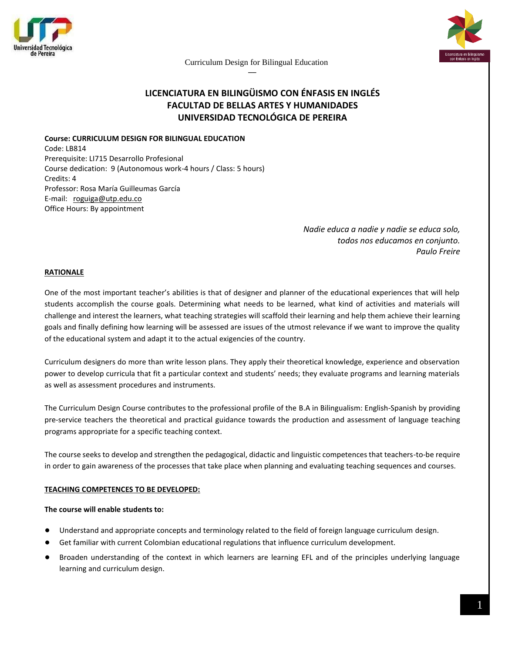



# **LICENCIATURA EN BILINGÜISMO CON ÉNFASIS EN INGLÉS FACULTAD DE BELLAS ARTES Y HUMANIDADES UNIVERSIDAD TECNOLÓGICA DE PEREIRA**

## **Course: CURRICULUM DESIGN FOR BILINGUAL EDUCATION**

Code: LB814 Prerequisite: LI715 Desarrollo Profesional Course dedication: 9 (Autonomous work-4 hours / Class: 5 hours) Credits: 4 Professor: Rosa María Guilleumas García E-mail: [roguiga@utp.edu.co](mailto:roguiga@utp.edu.co) Office Hours: By appointment

> *Nadie educa a nadie y nadie se educa solo, todos nos educamos en conjunto. Paulo Freire*

## **RATIONALE**

One of the most important teacher's abilities is that of designer and planner of the educational experiences that will help students accomplish the course goals. Determining what needs to be learned, what kind of activities and materials will challenge and interest the learners, what teaching strategies will scaffold their learning and help them achieve their learning goals and finally defining how learning will be assessed are issues of the utmost relevance if we want to improve the quality of the educational system and adapt it to the actual exigencies of the country.

Curriculum designers do more than write lesson plans. They apply their theoretical knowledge, experience and observation power to develop curricula that fit a particular context and students' needs; they evaluate programs and learning materials as well as assessment procedures and instruments.

The Curriculum Design Course contributes to the professional profile of the B.A in Bilingualism: English-Spanish by providing pre-service teachers the theoretical and practical guidance towards the production and assessment of language teaching programs appropriate for a specific teaching context.

The course seeks to develop and strengthen the pedagogical, didactic and linguistic competences that teachers-to-be require in order to gain awareness of the processes that take place when planning and evaluating teaching sequences and courses.

#### **TEACHING COMPETENCES TO BE DEVELOPED:**

#### **The course will enable students to:**

- Understand and appropriate concepts and terminology related to the field of foreign language curriculum design.
- Get familiar with current Colombian educational regulations that influence curriculum development.
- Broaden understanding of the context in which learners are learning EFL and of the principles underlying language learning and curriculum design.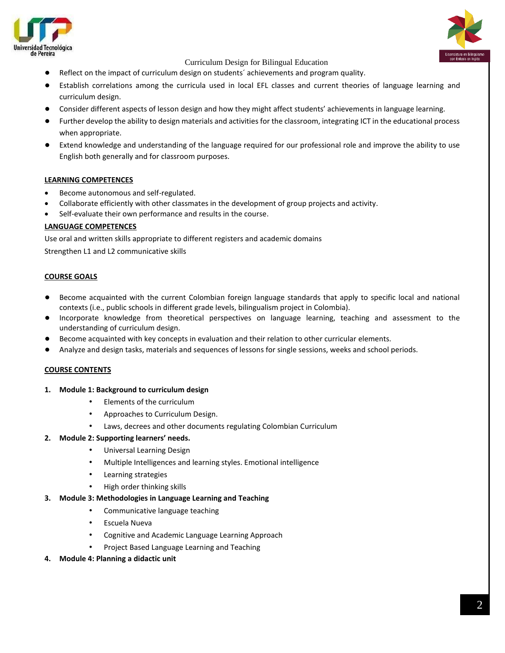

- Reflect on the impact of curriculum design on students´ achievements and program quality.
- Establish correlations among the curricula used in local EFL classes and current theories of language learning and curriculum design.
- Consider different aspects of lesson design and how they might affect students' achievements in language learning.
- Further develop the ability to design materials and activities for the classroom, integrating ICT in the educational process when appropriate.
- Extend knowledge and understanding of the language required for our professional role and improve the ability to use English both generally and for classroom purposes.

### **LEARNING COMPETENCES**

- Become autonomous and self-regulated.
- Collaborate efficiently with other classmates in the development of group projects and activity.
- Self-evaluate their own performance and results in the course.

### **LANGUAGE COMPETENCES**

Use oral and written skills appropriate to different registers and academic domains Strengthen L1 and L2 communicative skills

### **COURSE GOALS**

- Become acquainted with the current Colombian foreign language standards that apply to specific local and national contexts (i.e., public schools in different grade levels, bilingualism project in Colombia).
- Incorporate knowledge from theoretical perspectives on language learning, teaching and assessment to the understanding of curriculum design.
- Become acquainted with key concepts in evaluation and their relation to other curricular elements.
- Analyze and design tasks, materials and sequences of lessons for single sessions, weeks and school periods.

#### **COURSE CONTENTS**

- **1. Module 1: Background to curriculum design**
	- Elements of the curriculum
	- Approaches to Curriculum Design.
	- Laws, decrees and other documents regulating Colombian Curriculum

#### **2. Module 2: Supporting learners' needs.**

- Universal Learning Design
- Multiple Intelligences and learning styles. Emotional intelligence
- Learning strategies
- High order thinking skills

#### **3. Module 3: Methodologies in Language Learning and Teaching**

- Communicative language teaching
- Escuela Nueva
- Cognitive and Academic Language Learning Approach
- Project Based Language Learning and Teaching
- **4. Module 4: Planning a didactic unit**

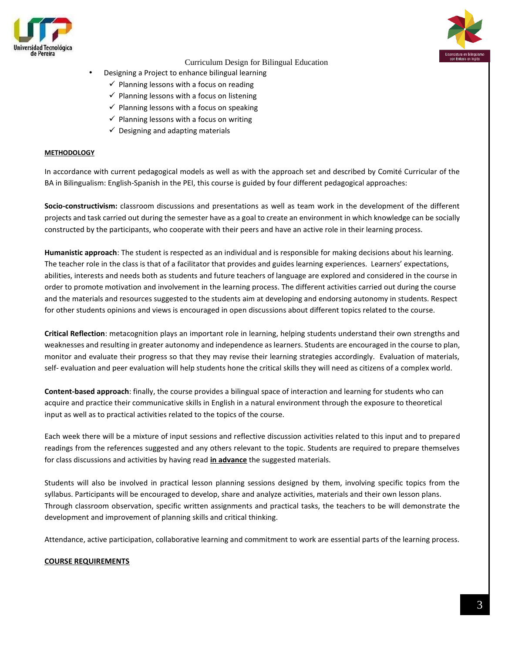



- Designing a Project to enhance bilingual learning
	- $\checkmark$  Planning lessons with a focus on reading
	- $\checkmark$  Planning lessons with a focus on listening
	- $\checkmark$  Planning lessons with a focus on speaking
	- $\checkmark$  Planning lessons with a focus on writing
	- $\checkmark$  Designing and adapting materials

#### **METHODOLOGY**

In accordance with current pedagogical models as well as with the approach set and described by Comité Curricular of the BA in Bilingualism: English-Spanish in the PEI, this course is guided by four different pedagogical approaches:

**Socio-constructivism:** classroom discussions and presentations as well as team work in the development of the different projects and task carried out during the semester have as a goal to create an environment in which knowledge can be socially constructed by the participants, who cooperate with their peers and have an active role in their learning process.

**Humanistic approach**: The student is respected as an individual and is responsible for making decisions about his learning. The teacher role in the class is that of a facilitator that provides and guides learning experiences. Learners' expectations, abilities, interests and needs both as students and future teachers of language are explored and considered in the course in order to promote motivation and involvement in the learning process. The different activities carried out during the course and the materials and resources suggested to the students aim at developing and endorsing autonomy in students. Respect for other students opinions and views is encouraged in open discussions about different topics related to the course.

**Critical Reflection**: metacognition plays an important role in learning, helping students understand their own strengths and weaknesses and resulting in greater autonomy and independence as learners. Students are encouraged in the course to plan, monitor and evaluate their progress so that they may revise their learning strategies accordingly. Evaluation of materials, self- evaluation and peer evaluation will help students hone the critical skills they will need as citizens of a complex world.

**Content-based approach**: finally, the course provides a bilingual space of interaction and learning for students who can acquire and practice their communicative skills in English in a natural environment through the exposure to theoretical input as well as to practical activities related to the topics of the course.

Each week there will be a mixture of input sessions and reflective discussion activities related to this input and to prepared readings from the references suggested and any others relevant to the topic. Students are required to prepare themselves for class discussions and activities by having read **in advance** the suggested materials.

Students will also be involved in practical lesson planning sessions designed by them, involving specific topics from the syllabus. Participants will be encouraged to develop, share and analyze activities, materials and their own lesson plans. Through classroom observation, specific written assignments and practical tasks, the teachers to be will demonstrate the development and improvement of planning skills and critical thinking.

Attendance, active participation, collaborative learning and commitment to work are essential parts of the learning process.

#### **COURSE REQUIREMENTS**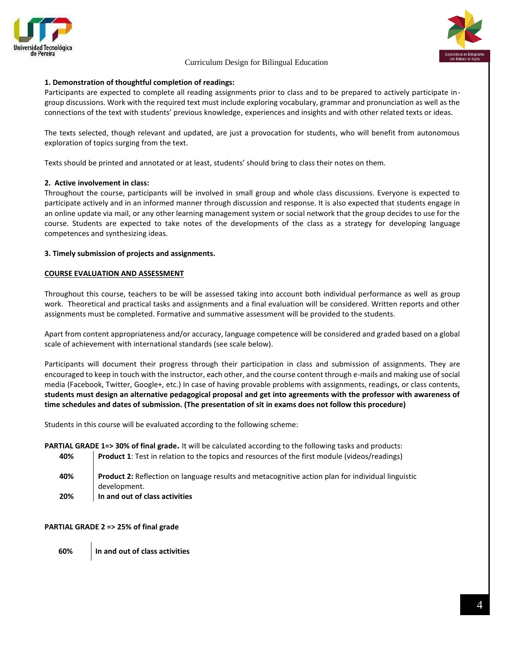





## **1. Demonstration of thoughtful completion of readings:**

Participants are expected to complete all reading assignments prior to class and to be prepared to actively participate ingroup discussions. Work with the required text must include exploring vocabulary, grammar and pronunciation as well as the connections of the text with students' previous knowledge, experiences and insights and with other related texts or ideas.

The texts selected, though relevant and updated, are just a provocation for students, who will benefit from autonomous exploration of topics surging from the text.

Texts should be printed and annotated or at least, students' should bring to class their notes on them.

## **2. Active involvement in class:**

Throughout the course, participants will be involved in small group and whole class discussions. Everyone is expected to participate actively and in an informed manner through discussion and response. It is also expected that students engage in an online update via mail, or any other learning management system or social network that the group decides to use for the course. Students are expected to take notes of the developments of the class as a strategy for developing language competences and synthesizing ideas.

## **3. Timely submission of projects and assignments.**

## **COURSE EVALUATION AND ASSESSMENT**

Throughout this course, teachers to be will be assessed taking into account both individual performance as well as group work. Theoretical and practical tasks and assignments and a final evaluation will be considered. Written reports and other assignments must be completed. Formative and summative assessment will be provided to the students.

Apart from content appropriateness and/or accuracy, language competence will be considered and graded based on a global scale of achievement with international standards (see scale below).

Participants will document their progress through their participation in class and submission of assignments. They are encouraged to keep in touch with the instructor, each other, and the course content through e-mails and making use of social media (Facebook, Twitter, Google+, etc.) In case of having provable problems with assignments, readings, or class contents, **students must design an alternative pedagogical proposal and get into agreements with the professor with awareness of time schedules and dates of submission. (The presentation of sit in exams does not follow this procedure)**

Students in this course will be evaluated according to the following scheme:

**PARTIAL GRADE 1=> 30% of final grade.** It will be calculated according to the following tasks and products:

- **40% Product 1**: Test in relation to the topics and resources of the first module (videos/readings)
- **40% Product 2:** Reflection on language results and metacognitive action plan for individual linguistic development.
- **20% In and out of class activities**

## **PARTIAL GRADE 2 => 25% of final grade**

**60% In and out of class activities**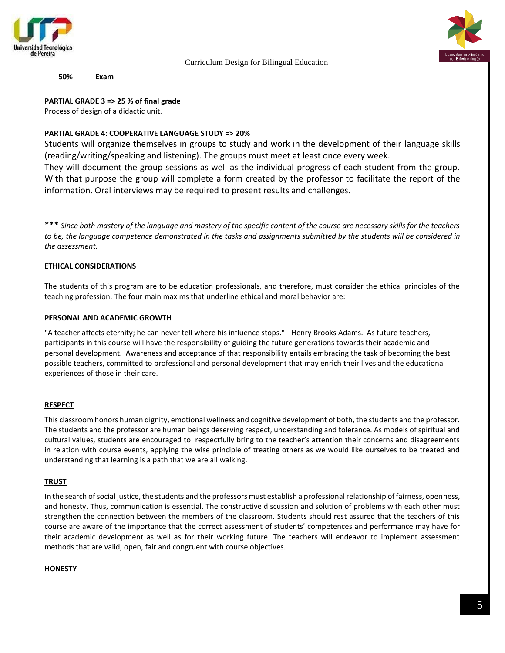



**50% Exam**

**PARTIAL GRADE 3 => 25 % of final grade**

Process of design of a didactic unit.

## **PARTIAL GRADE 4: COOPERATIVE LANGUAGE STUDY => 20%**

Students will organize themselves in groups to study and work in the development of their language skills (reading/writing/speaking and listening). The groups must meet at least once every week.

They will document the group sessions as well as the individual progress of each student from the group. With that purpose the group will complete a form created by the professor to facilitate the report of the information. Oral interviews may be required to present results and challenges.

\*\*\* *Since both mastery of the language and mastery of the specific content of the course are necessary skills for the teachers to be, the language competence demonstrated in the tasks and assignments submitted by the students will be considered in the assessment.* 

## **ETHICAL CONSIDERATIONS**

The students of this program are to be education professionals, and therefore, must consider the ethical principles of the teaching profession. The four main maxims that underline ethical and moral behavior are:

## **PERSONAL AND ACADEMIC GROWTH**

"A teacher affects eternity; he can never tell where his influence stops." - Henry Brooks Adams. As future teachers, participants in this course will have the responsibility of guiding the future generations towards their academic and personal development. Awareness and acceptance of that responsibility entails embracing the task of becoming the best possible teachers, committed to professional and personal development that may enrich their lives and the educational experiences of those in their care.

## **RESPECT**

This classroom honors human dignity, emotional wellness and cognitive development of both, the students and the professor. The students and the professor are human beings deserving respect, understanding and tolerance. As models of spiritual and cultural values, students are encouraged to respectfully bring to the teacher's attention their concerns and disagreements in relation with course events, applying the wise principle of treating others as we would like ourselves to be treated and understanding that learning is a path that we are all walking.

## **TRUST**

In the search of social justice, the students and the professors must establish a professional relationship of fairness, openness, and honesty. Thus, communication is essential. The constructive discussion and solution of problems with each other must strengthen the connection between the members of the classroom. Students should rest assured that the teachers of this course are aware of the importance that the correct assessment of students' competences and performance may have for their academic development as well as for their working future. The teachers will endeavor to implement assessment methods that are valid, open, fair and congruent with course objectives.

## **HONESTY**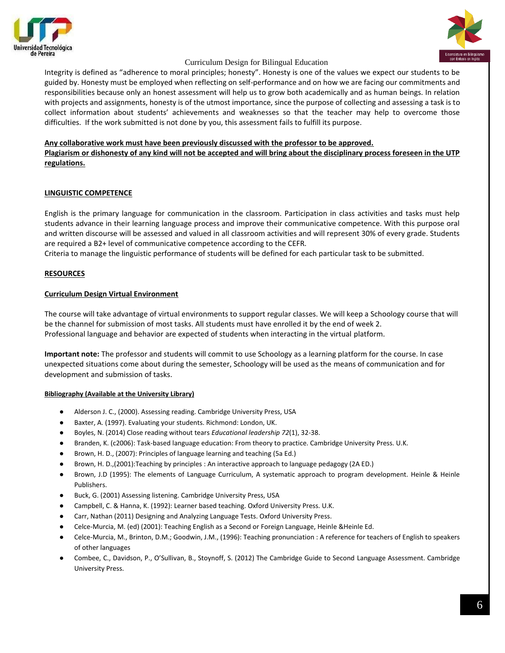



Integrity is defined as "adherence to moral principles; honesty". Honesty is one of the values we expect our students to be guided by. Honesty must be employed when reflecting on self-performance and on how we are facing our commitments and responsibilities because only an honest assessment will help us to grow both academically and as human beings. In relation with projects and assignments, honesty is of the utmost importance, since the purpose of collecting and assessing a task is to collect information about students' achievements and weaknesses so that the teacher may help to overcome those difficulties. If the work submitted is not done by you, this assessment fails to fulfill its purpose.

### **Any collaborative work must have been previously discussed with the professor to be approved.**

**Plagiarism or dishonesty of any kind will not be accepted and will bring about the disciplinary process foreseen in the UTP regulations.**

## **LINGUISTIC COMPETENCE**

English is the primary language for communication in the classroom. Participation in class activities and tasks must help students advance in their learning language process and improve their communicative competence. With this purpose oral and written discourse will be assessed and valued in all classroom activities and will represent 30% of every grade. Students are required a B2+ level of communicative competence according to the CEFR.

Criteria to manage the linguistic performance of students will be defined for each particular task to be submitted.

### **RESOURCES**

### **Curriculum Design Virtual Environment**

The course will take advantage of virtual environments to support regular classes. We will keep a Schoology course that will be the channel for submission of most tasks. All students must have enrolled it by the end of week 2. Professional language and behavior are expected of students when interacting in the virtual platform.

**Important note:** The professor and students will commit to use Schoology as a learning platform for the course. In case unexpected situations come about during the semester, Schoology will be used as the means of communication and for development and submission of tasks.

#### **Bibliography (Available at the University Library)**

- Alderson J. C., (2000). Assessing reading. Cambridge University Press, USA
- Baxter, A. (1997). Evaluating your students. Richmond: London, UK.
- Boyles, N. (2014) Close reading without tears *Educational leadership 72*(1), 32-38.
- Branden, K. (c2006): Task-based language education: From theory to practice. Cambridge University Press. U.K.
- Brown, H. D., (2007): Principles of language learning and teaching (5a Ed.)
- Brown, H. D.,(2001):Teaching by principles : An interactive approach to language pedagogy (2A ED.)
- Brown, J.D (1995): The elements of Language Curriculum, A systematic approach to program development. Heinle & Heinle Publishers.
- Buck, G. (2001) Assessing listening. Cambridge University Press, USA
- Campbell, C. & Hanna, K. (1992): Learner based teaching. Oxford University Press. U.K.
- Carr, Nathan (2011) Designing and Analyzing Language Tests. Oxford University Press.
- Celce-Murcia, M. (ed) (2001): Teaching English as a Second or Foreign Language, Heinle &Heinle Ed.
- Celce-Murcia, M., Brinton, D.M.; Goodwin, J.M., (1996): Teaching pronunciation : A reference for teachers of English to speakers of other languages
- Combee, C., Davidson, P., O'Sullivan, B., Stoynoff, S. (2012) The Cambridge Guide to Second Language Assessment. Cambridge University Press.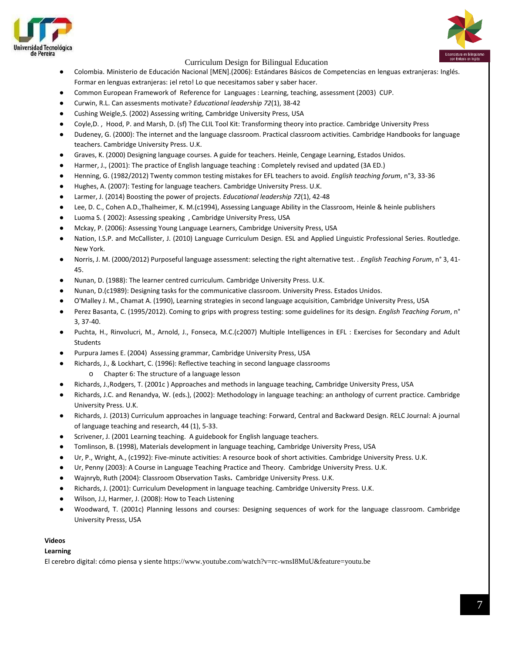

- Colombia. Ministerio de Educación Nacional [MEN].(2006): Estándares Básicos de Competencias en lenguas extranjeras: Inglés. Formar en lenguas extranjeras: ¡el reto! Lo que necesitamos saber y saber hacer.
- Common European Framework of Reference for Languages : Learning, teaching, assessment (2003) CUP.
- Curwin, R.L. Can assesments motivate? *Educational leadership 72*(1), 38-42
- Cushing Weigle,S. (2002) Assessing writing, Cambridge University Press, USA
- Coyle,D., Hood, P. and Marsh, D. (sf) The CLIL Tool Kit: Transforming theory into practice. Cambridge University Press
- Dudeney, G. (2000): The internet and the language classroom. Practical classroom activities. Cambridge Handbooks for language teachers. Cambridge University Press. U.K.
- Graves, K. (2000) Designing language courses. A guide for teachers. Heinle, Cengage Learning, Estados Unidos.
- Harmer, J., (2001): The practice of English language teaching : Completely revised and updated (3A ED.)
- Henning, G. (1982/2012) Twenty common testing mistakes for EFL teachers to avoid. *English teaching forum*, n°3, 33-36
- Hughes, A. (2007): Testing for language teachers. Cambridge University Press. U.K.
- Larmer, J. (2014) Boosting the power of projects. *Educational leadership 72*(1), 42-48
- Lee, D. C., Cohen A.D.,Thalheimer, K. M.(c1994), Assessing Language Ability in the Classroom, Heinle & heinle publishers
- Luoma S. (2002): Assessing speaking, Cambridge University Press, USA
- Mckay, P. (2006): Assessing Young Language Learners, Cambridge University Press, USA
- Nation, I.S.P. and McCallister, J. (2010) Language Curriculum Design. ESL and Applied Linguistic Professional Series. Routledge. New York.
- Norris, J. M. (2000/2012) Purposeful language assessment: selecting the right alternative test. . *English Teaching Forum*, n° 3, 41- 45.
- Nunan, D. (1988): The learner centred curriculum. Cambridge University Press. U.K.
- Nunan, D.(c1989): Designing tasks for the communicative classroom. University Press. Estados Unidos.
- O'Malley J. M., Chamat A. (1990), Learning strategies in second language acquisition, Cambridge University Press, USA
- Perez Basanta, C. (1995/2012). Coming to grips with progress testing: some guidelines for its design. *English Teaching Forum*, n° 3, 37-40.
- Puchta, H., Rinvolucri, M., Arnold, J., Fonseca, M.C.(c2007) Multiple Intelligences in EFL : Exercises for Secondary and Adult **Students**
- Purpura James E. (2004) Assessing grammar, Cambridge University Press, USA
- Richards, J., & Lockhart, C. (1996): Reflective teaching in second language classrooms
	- Chapter 6: The structure of a language lesson
- Richards, J.,Rodgers, T. (2001c ) Approaches and methods in language teaching, Cambridge University Press, USA
- Richards, J.C. and Renandya, W. (eds.), (2002): Methodology in language teaching: an anthology of current practice. Cambridge University Press. U.K.
- Richards, J. (2013) Curriculum approaches in language teaching: Forward, Central and Backward Design. RELC Journal: A journal of language teaching and research, 44 (1), 5-33.
- Scrivener, J. (2001 Learning teaching. A guidebook for English language teachers.
- Tomlinson, B. (1998), Materials development in language teaching, Cambridge University Press, USA
- Ur, P., Wright, A., (c1992): Five-minute activities: A resource book of short activities. Cambridge University Press. U.K.
- Ur, Penny (2003): A Course in Language Teaching Practice and Theory. Cambridge University Press. U.K.
- Wajnryb, Ruth (2004): Classroom Observation Tasks**.** Cambridge University Press. U.K.
- Richards, J. (2001): Curriculum Development in language teaching. Cambridge University Press. U.K.
- Wilson, J.J, Harmer, J. (2008): How to Teach Listening
- Woodward, T. (2001c) Planning lessons and courses: Designing sequences of work for the language classroom. Cambridge University Presss, USA

#### **Videos**

#### **Learning**

El cerebro digital: cómo piensa y siente <https://www.youtube.com/watch?v=rc-wnsI8MuU&feature=youtu.be>